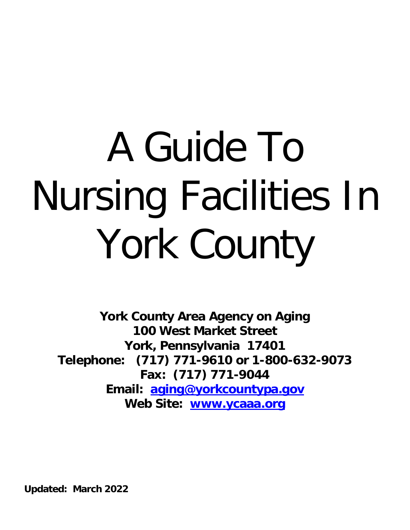# A Guide To Nursing Facilities In York County

**York County Area Agency on Aging 100 West Market Street York, Pennsylvania 17401 Telephone: (717) 771-9610 or 1-800-632-9073 Fax: (717) 771-9044 Email: [aging@yorkcountypa.gov](mailto:aging@york-county.org) Web Site: [www.ycaaa.org](http://www.ycaaa.org/)**

**Updated: March 2022**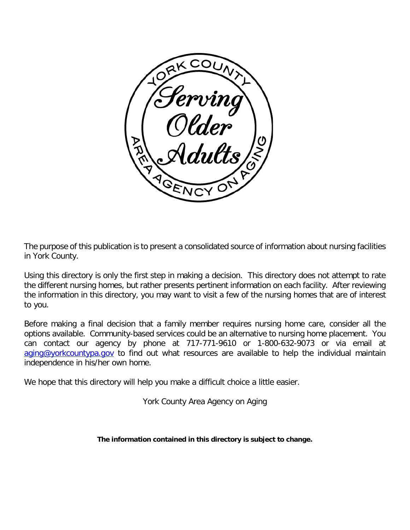

The purpose of this publication is to present a consolidated source of information about nursing facilities in York County.

Using this directory is only the first step in making a decision. This directory does not attempt to rate the different nursing homes, but rather presents pertinent information on each facility. After reviewing the information in this directory, you may want to visit a few of the nursing homes that are of interest to you.

Before making a final decision that a family member requires nursing home care, consider all the options available. Community-based services could be an alternative to nursing home placement. You can contact our agency by phone at 717-771-9610 or 1-800-632-9073 or via email at [aging@yorkcountypa.gov](mailto:aging@yorkcountypa.gov) to find out what resources are available to help the individual maintain independence in his/her own home.

We hope that this directory will help you make a difficult choice a little easier.

York County Area Agency on Aging

**The information contained in this directory is subject to change.**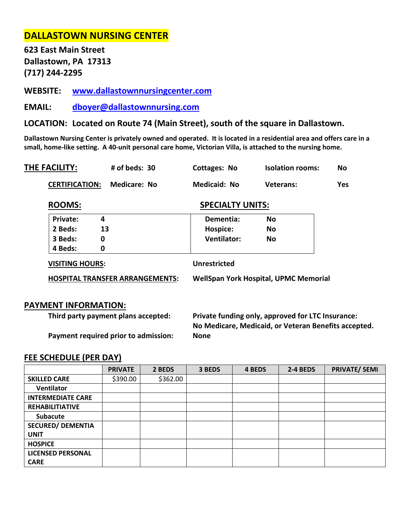# **DALLASTOWN NURSING CENTER**

**623 East Main Street Dallastown, PA 17313 (717) 244-2295**

**WEBSITE: [www.dallastownnursingcenter.com](http://www.dallastownnursingcenter.com/)**

**EMAIL: [dboyer@dallastownnursing.com](mailto:dboyer@dallastownnursing.com)**

**LOCATION: Located on Route 74 (Main Street), south of the square in Dallastown.**

**Dallastown Nursing Center is privately owned and operated. It is located in a residential area and offers care in a small, home-like setting. A 40-unit personal care home, Victorian Villa, is attached to the nursing home.** 

| THE FACILITY:         | # of beds: 30 | Cottages: No        | <b>Isolation rooms:</b> | No. |
|-----------------------|---------------|---------------------|-------------------------|-----|
| <b>CERTIFICATION:</b> | Medicare: No  | <b>Medicaid: No</b> | Veterans:               | Yes |

### **ROOMS:** SPECIALTY UNITS:

| <b>HOSPITAL TRANSFER ARRANGEMENTS:</b> |    | <b>WellSpan York Hospital, UPMC Memorial</b> |           |  |  |
|----------------------------------------|----|----------------------------------------------|-----------|--|--|
| <b>VISITING HOURS:</b>                 |    | <b>Unrestricted</b>                          |           |  |  |
| 4 Beds:                                | 0  |                                              |           |  |  |
| 3 Beds:                                | 0  | <b>Ventilator:</b>                           | No        |  |  |
| 2 Beds:                                | 13 | Hospice:                                     | No        |  |  |
| <b>Private:</b>                        | 4  | Dementia:                                    | <b>No</b> |  |  |

### **PAYMENT INFORMATION:**

**Third party payment plans accepted: Private funding only, approved for LTC Insurance: No Medicare, Medicaid, or Veteran Benefits accepted.** 

**Payment required prior to admission: None**

|                          | <b>PRIVATE</b> | 2 BEDS   | 3 BEDS | 4 BEDS | 2-4 BEDS | <b>PRIVATE/ SEMI</b> |
|--------------------------|----------------|----------|--------|--------|----------|----------------------|
| <b>SKILLED CARE</b>      | \$390.00       | \$362.00 |        |        |          |                      |
| Ventilator               |                |          |        |        |          |                      |
| <b>INTERMEDIATE CARE</b> |                |          |        |        |          |                      |
| <b>REHABILITIATIVE</b>   |                |          |        |        |          |                      |
| <b>Subacute</b>          |                |          |        |        |          |                      |
| <b>SECURED/ DEMENTIA</b> |                |          |        |        |          |                      |
| <b>UNIT</b>              |                |          |        |        |          |                      |
| <b>HOSPICE</b>           |                |          |        |        |          |                      |
| <b>LICENSED PERSONAL</b> |                |          |        |        |          |                      |
| <b>CARE</b>              |                |          |        |        |          |                      |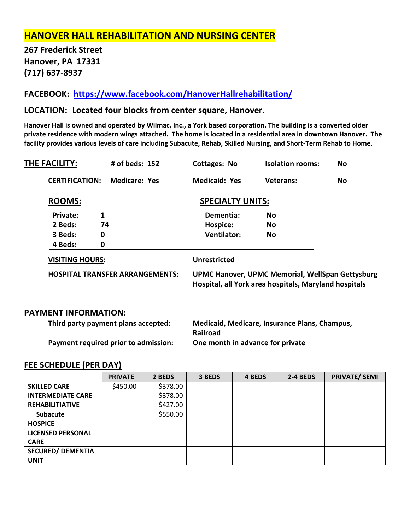# **HANOVER HALL REHABILITATION AND NURSING CENTER**

**267 Frederick Street Hanover, PA 17331 (717) 637-8937**

**FACEBOOK: <https://www.facebook.com/HanoverHallrehabilitation/>**

# **LOCATION: Located four blocks from center square, Hanover.**

**Hanover Hall is owned and operated by Wilmac, Inc., a York based corporation. The building is a converted older private residence with modern wings attached. The home is located in a residential area in downtown Hanover. The facility provides various levels of care including Subacute, Rehab, Skilled Nursing, and Short-Term Rehab to Home.**

| THE FACILITY:                          |   | # of beds: $152$      |                                                                                                                  | Cottages: No         | <b>Isolation rooms:</b> | No                      |  |
|----------------------------------------|---|-----------------------|------------------------------------------------------------------------------------------------------------------|----------------------|-------------------------|-------------------------|--|
|                                        |   | <b>Medicare: Yes</b>  |                                                                                                                  | <b>Medicaid: Yes</b> | <b>Veterans:</b>        | No.                     |  |
| <b>ROOMS:</b>                          |   |                       |                                                                                                                  |                      |                         |                         |  |
| <b>Private:</b>                        | 1 |                       |                                                                                                                  | Dementia:            | <b>No</b>               |                         |  |
| 2 Beds:                                |   |                       |                                                                                                                  | Hospice:             | No                      |                         |  |
| 3 Beds:                                | 0 |                       |                                                                                                                  | <b>Ventilator:</b>   | <b>No</b>               |                         |  |
| 4 Beds:                                | 0 |                       |                                                                                                                  |                      |                         |                         |  |
| <b>VISITING HOURS:</b>                 |   | <b>Unrestricted</b>   |                                                                                                                  |                      |                         |                         |  |
| <b>HOSPITAL TRANSFER ARRANGEMENTS:</b> |   |                       | <b>UPMC Hanover, UPMC Memorial, WellSpan Gettysburg</b><br>Hospital, all York area hospitals, Maryland hospitals |                      |                         |                         |  |
|                                        |   | <b>CERTIFICATION:</b> | 74                                                                                                               |                      |                         | <b>SPECIALTY UNITS:</b> |  |

# **PAYMENT INFORMATION:**

| Third party payment plans accepted:  | Medicaid, Medicare, Insurance Plans, Champus,<br><b>Railroad</b> |
|--------------------------------------|------------------------------------------------------------------|
| Payment required prior to admission: | One month in advance for private                                 |

|                          | <b>PRIVATE</b> | 2 BEDS   | 3 BEDS | 4 BEDS | 2-4 BEDS | <b>PRIVATE/ SEMI</b> |
|--------------------------|----------------|----------|--------|--------|----------|----------------------|
| <b>SKILLED CARE</b>      | \$450.00       | \$378.00 |        |        |          |                      |
| <b>INTERMEDIATE CARE</b> |                | \$378.00 |        |        |          |                      |
| <b>REHABILITIATIVE</b>   |                | \$427.00 |        |        |          |                      |
| <b>Subacute</b>          |                | \$550.00 |        |        |          |                      |
| <b>HOSPICE</b>           |                |          |        |        |          |                      |
| <b>LICENSED PERSONAL</b> |                |          |        |        |          |                      |
| <b>CARE</b>              |                |          |        |        |          |                      |
| <b>SECURED/ DEMENTIA</b> |                |          |        |        |          |                      |
| <b>UNIT</b>              |                |          |        |        |          |                      |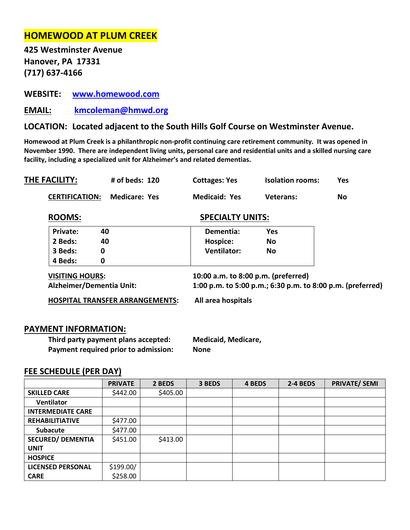# **HOMEWOOD AT PLUM CREEK**

**425 Westminster Avenue Hanover, PA 17331 (717) 637-4166**

**WEBSITE: [www.homewood.com](http://www.homewood.com/)**

**EMAIL: [kmcoleman@hmwd.org](mailto:kmcoleman@hmwd.org)**

# **LOCATION: Located adjacent to the South Hills Golf Course on Westminster Avenue.**

**Homewood at Plum Creek is a philanthropic non-profit continuing care retirement community. It was opened in November 1990. There are independent living units, personal care and residential units and a skilled nursing care facility, including a specialized unit for Alzheimer's and related dementias.** 

| THE FACILITY:         | # of beds: 120 | <b>Cottages: Yes</b> | <b>Isolation rooms:</b> | Yes |
|-----------------------|----------------|----------------------|-------------------------|-----|
| <b>CERTIFICATION:</b> | Medicare: Yes  | <b>Medicaid: Yes</b> | Veterans:               | No. |

# ROOMS: SPECIALTY UNITS:

| Private: | 40 | Dementia:          | Yes |  |
|----------|----|--------------------|-----|--|
| 2 Beds:  | 40 | Hospice:           | No  |  |
| 3 Beds:  |    | <b>Ventilator:</b> | No  |  |
| 4 Beds:  |    |                    |     |  |

**VISITING HOURS: 10:00 a.m. to 8:00 p.m. (preferred) Alzheimer/Dementia Unit: 1:00 p.m. to 5:00 p.m.; 6:30 p.m. to 8:00 p.m. (preferred)**

**HOSPITAL TRANSFER ARRANGEMENTS: All area hospitals**

### **PAYMENT INFORMATION:**

**Third party payment plans accepted: Medicaid, Medicare, Payment required prior to admission: None** 

|                          | <b>PRIVATE</b> | 2 BEDS   | 3 BEDS | 4 BEDS | 2-4 BEDS | <b>PRIVATE/ SEMI</b> |
|--------------------------|----------------|----------|--------|--------|----------|----------------------|
| <b>SKILLED CARE</b>      | \$442.00       | \$405.00 |        |        |          |                      |
| <b>Ventilator</b>        |                |          |        |        |          |                      |
| <b>INTERMEDIATE CARE</b> |                |          |        |        |          |                      |
| <b>REHABILITIATIVE</b>   | \$477.00       |          |        |        |          |                      |
| <b>Subacute</b>          | \$477.00       |          |        |        |          |                      |
| <b>SECURED/ DEMENTIA</b> | \$451.00       | \$413.00 |        |        |          |                      |
| <b>UNIT</b>              |                |          |        |        |          |                      |
| <b>HOSPICE</b>           |                |          |        |        |          |                      |
| <b>LICENSED PERSONAL</b> | \$199.00/      |          |        |        |          |                      |
| <b>CARE</b>              | \$258.00       |          |        |        |          |                      |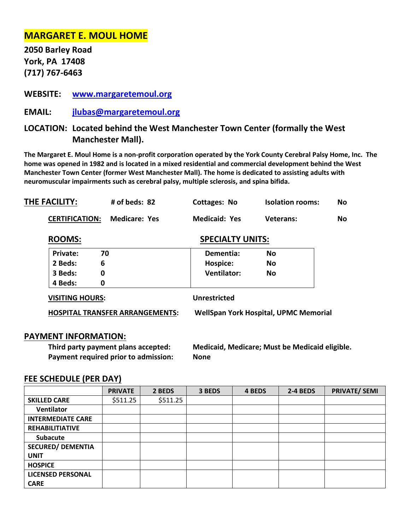# **MARGARET E. MOUL HOME**

**2050 Barley Road York, PA 17408 (717) 767-6463**

# **WEBSITE: [www.margaretemoul.org](http://www.margaretemoul.org/)**

**EMAIL: [jlubas@margaretemoul.org](mailto:jlubas@margaretemoul.org)**

# **LOCATION: Located behind the West Manchester Town Center (formally the West Manchester Mall).**

**The Margaret E. Moul Home is a non-profit corporation operated by the York County Cerebral Palsy Home, Inc. The home was opened in 1982 and is located in a mixed residential and commercial development behind the West Manchester Town Center (former West Manchester Mall). The home is dedicated to assisting adults with neuromuscular impairments such as cerebral palsy, multiple sclerosis, and spina bifida.** 

| THE FACILITY:          | # of beds: 82                          | <b>Cottages: No</b>                          | <b>Isolation rooms:</b> | No        |  |
|------------------------|----------------------------------------|----------------------------------------------|-------------------------|-----------|--|
| <b>CERTIFICATION:</b>  | <b>Medicare: Yes</b>                   | <b>Medicaid: Yes</b>                         | Veterans:               | <b>No</b> |  |
| <b>ROOMS:</b>          |                                        | <b>SPECIALTY UNITS:</b>                      |                         |           |  |
| 70<br>Private:         |                                        | Dementia:                                    | <b>No</b>               |           |  |
| 6<br>2 Beds:           |                                        | Hospice:                                     | <b>No</b>               |           |  |
| 0<br>3 Beds:           |                                        | <b>Ventilator:</b>                           | <b>No</b>               |           |  |
| 4 Beds:<br>0           |                                        |                                              |                         |           |  |
| <b>VISITING HOURS:</b> |                                        | <b>Unrestricted</b>                          |                         |           |  |
|                        | <b>HOSPITAL TRANSFER ARRANGEMENTS:</b> | <b>WellSpan York Hospital, UPMC Memorial</b> |                         |           |  |
|                        |                                        |                                              |                         |           |  |

### **PAYMENT INFORMATION:**

**Payment required prior to admission: None**

**Third party payment plans accepted: Medicaid, Medicare; Must be Medicaid eligible.**

|                          | <b>PRIVATE</b> | 2 BEDS   | 3 BEDS | 4 BEDS | 2-4 BEDS | <b>PRIVATE/ SEMI</b> |
|--------------------------|----------------|----------|--------|--------|----------|----------------------|
| <b>SKILLED CARE</b>      | \$511.25       | \$511.25 |        |        |          |                      |
| Ventilator               |                |          |        |        |          |                      |
| <b>INTERMEDIATE CARE</b> |                |          |        |        |          |                      |
| <b>REHABILITIATIVE</b>   |                |          |        |        |          |                      |
| <b>Subacute</b>          |                |          |        |        |          |                      |
| <b>SECURED/ DEMENTIA</b> |                |          |        |        |          |                      |
| <b>UNIT</b>              |                |          |        |        |          |                      |
| <b>HOSPICE</b>           |                |          |        |        |          |                      |
| <b>LICENSED PERSONAL</b> |                |          |        |        |          |                      |
| <b>CARE</b>              |                |          |        |        |          |                      |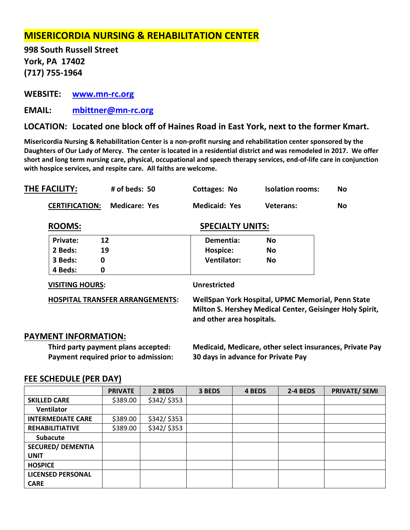# **MISERICORDIA NURSING & REHABILITATION CENTER**

**998 South Russell Street York, PA 17402 (717) 755-1964**

**WEBSITE: [www.mn-rc.org](http://www.mn-rc.org/)**

**EMAIL: [mbittner@mn-rc.org](mailto:mbittner@mn-rc.org)**

# **LOCATION: Located one block off of Haines Road in East York, next to the former Kmart.**

**Misericordia Nursing & Rehabilitation Center is a non-profit nursing and rehabilitation center sponsored by the Daughters of Our Lady of Mercy. The center is located in a residential district and was remodeled in 2017. We offer short and long term nursing care, physical, occupational and speech therapy services, end-of-life care in conjunction with hospice services, and respite care. All faiths are welcome.**

| THE FACILITY:               | # of beds: 50                          | <b>Cottages: No</b>                                                                                                                        | <b>Isolation rooms:</b> | No. |  |
|-----------------------------|----------------------------------------|--------------------------------------------------------------------------------------------------------------------------------------------|-------------------------|-----|--|
| <b>CERTIFICATION:</b>       | <b>Medicare: Yes</b>                   | <b>Medicaid: Yes</b>                                                                                                                       | <b>Veterans:</b>        | No. |  |
| <b>ROOMS:</b>               |                                        | <b>SPECIALTY UNITS:</b>                                                                                                                    |                         |     |  |
| 12<br><b>Private:</b>       |                                        | Dementia:                                                                                                                                  | <b>No</b>               |     |  |
| 2 Beds:<br>19               |                                        | Hospice:                                                                                                                                   | No                      |     |  |
| $\mathbf 0$<br>3 Beds:      |                                        | <b>Ventilator:</b>                                                                                                                         | <b>No</b>               |     |  |
| $\boldsymbol{0}$<br>4 Beds: |                                        |                                                                                                                                            |                         |     |  |
| <b>VISITING HOURS:</b>      |                                        | <b>Unrestricted</b>                                                                                                                        |                         |     |  |
|                             | <b>HOSPITAL TRANSFER ARRANGEMENTS:</b> | WellSpan York Hospital, UPMC Memorial, Penn State<br>Milton S. Hershey Medical Center, Geisinger Holy Spirit,<br>and other area hospitals. |                         |     |  |
| <b>PAYMENT INFORMATION:</b> |                                        |                                                                                                                                            |                         |     |  |

**Third party payment plans accepted: Medicaid, Medicare, other select insurances, Private Pay Payment required prior to admission: 30 days in advance for Private Pay**

|                          | <b>PRIVATE</b> | 2 BEDS      | 3 BEDS | 4 BEDS | 2-4 BEDS | <b>PRIVATE/ SEMI</b> |
|--------------------------|----------------|-------------|--------|--------|----------|----------------------|
| <b>SKILLED CARE</b>      | \$389.00       | \$342/\$353 |        |        |          |                      |
| <b>Ventilator</b>        |                |             |        |        |          |                      |
| <b>INTERMEDIATE CARE</b> | \$389.00       | \$342/\$353 |        |        |          |                      |
| <b>REHABILITIATIVE</b>   | \$389.00       | \$342/\$353 |        |        |          |                      |
| <b>Subacute</b>          |                |             |        |        |          |                      |
| <b>SECURED/ DEMENTIA</b> |                |             |        |        |          |                      |
| <b>UNIT</b>              |                |             |        |        |          |                      |
| <b>HOSPICE</b>           |                |             |        |        |          |                      |
| <b>LICENSED PERSONAL</b> |                |             |        |        |          |                      |
| <b>CARE</b>              |                |             |        |        |          |                      |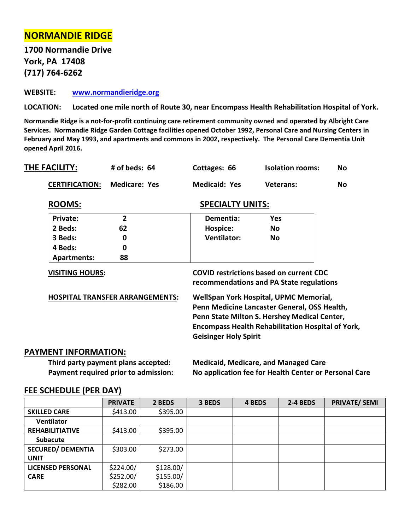# **NORMANDIE RIDGE**

**1700 Normandie Drive York, PA 17408 (717) 764-6262**

**WEBSITE: [www.normandieridge.org](http://www.normandieridge.org/)**

**LOCATION: Located one mile north of Route 30, near Encompass Health Rehabilitation Hospital of York.**

**Normandie Ridge is a not-for-profit continuing care retirement community owned and operated by Albright Care Services. Normandie Ridge Garden Cottage facilities opened October 1992, Personal Care and Nursing Centers in February and May 1993, and apartments and commons in 2002, respectively. The Personal Care Dementia Unit opened April 2016.**

| THE FACILITY:         | $#$ of beds: $64$ | Cottages: 66         | <b>Isolation rooms:</b> | <b>No</b> |
|-----------------------|-------------------|----------------------|-------------------------|-----------|
| <b>CERTIFICATION:</b> | Medicare: Yes     | <b>Medicaid: Yes</b> | Veterans:               | No        |

| <b>SPECIALTY UNITS:</b> |
|-------------------------|
|                         |

| <b>Private:</b>                        | $\overline{2}$ | Dementia:                                                                                                                              | Yes                                                      |  |  |  |
|----------------------------------------|----------------|----------------------------------------------------------------------------------------------------------------------------------------|----------------------------------------------------------|--|--|--|
| 2 Beds:                                | 62             | Hospice:                                                                                                                               | No.                                                      |  |  |  |
| 3 Beds:                                | 0              | <b>Ventilator:</b>                                                                                                                     | <b>No</b>                                                |  |  |  |
| 4 Beds:                                | 0              |                                                                                                                                        |                                                          |  |  |  |
| Apartments:                            | 88             |                                                                                                                                        |                                                          |  |  |  |
| <b>VISITING HOURS:</b>                 |                | <b>COVID restrictions based on current CDC</b><br>recommendations and PA State regulations                                             |                                                          |  |  |  |
| <b>HOSPITAL TRANSFER ARRANGEMENTS:</b> |                | WellSpan York Hospital, UPMC Memorial,<br>Penn Medicine Lancaster General, OSS Health,<br>Penn State Milton S. Hershey Medical Center, |                                                          |  |  |  |
|                                        |                |                                                                                                                                        | <b>Encompass Health Rehabilitation Hospital of York,</b> |  |  |  |
|                                        |                | <b>Geisinger Holy Spirit</b>                                                                                                           |                                                          |  |  |  |
| ΛΕΝΤ ΙΝΕΩRΜΔΤΙΩΝ·                      |                |                                                                                                                                        |                                                          |  |  |  |

### **PAYMENT INFORMATION:**

**Third party payment plans accepted: Medicaid, Medicare, and Managed Care Payment required prior to admission: No application fee for Health Center or Personal Care**

|                          | <b>PRIVATE</b> | 2 BEDS    | 3 BEDS | 4 BEDS | 2-4 BEDS | <b>PRIVATE/ SEMI</b> |
|--------------------------|----------------|-----------|--------|--------|----------|----------------------|
| <b>SKILLED CARE</b>      | \$413.00       | \$395.00  |        |        |          |                      |
| <b>Ventilator</b>        |                |           |        |        |          |                      |
| <b>REHABILITIATIVE</b>   | \$413.00       | \$395.00  |        |        |          |                      |
| <b>Subacute</b>          |                |           |        |        |          |                      |
| <b>SECURED/ DEMENTIA</b> | \$303.00       | \$273.00  |        |        |          |                      |
| <b>UNIT</b>              |                |           |        |        |          |                      |
| <b>LICENSED PERSONAL</b> | \$224.00/      | \$128.00/ |        |        |          |                      |
| <b>CARE</b>              | \$252.00/      | \$155.00/ |        |        |          |                      |
|                          | \$282.00       | \$186.00  |        |        |          |                      |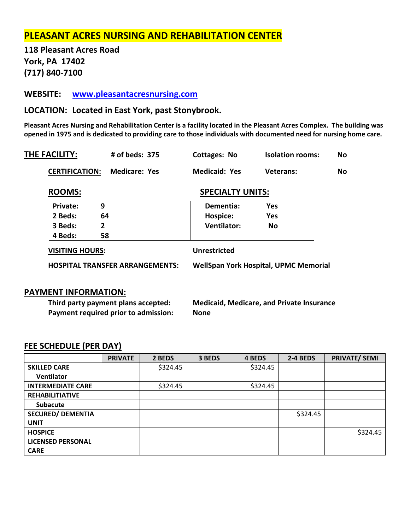# **PLEASANT ACRES NURSING AND REHABILITATION CENTER**

**118 Pleasant Acres Road York, PA 17402 (717) 840-7100**

**WEBSITE: [www.pleasantacresnursing.com](http://www.pleasantacresnursing.com/)** 

**LOCATION: Located in East York, past Stonybrook.**

**Pleasant Acres Nursing and Rehabilitation Center is a facility located in the Pleasant Acres Complex. The building was opened in 1975 and is dedicated to providing care to those individuals with documented need for nursing home care.** 

| # of beds: 375                         | Cottages: No         | <b>Isolation rooms:</b> | No                                                                      |
|----------------------------------------|----------------------|-------------------------|-------------------------------------------------------------------------|
| <b>Medicare: Yes</b>                   | <b>Medicaid: Yes</b> | <b>Veterans:</b>        | <b>No</b>                                                               |
|                                        |                      |                         |                                                                         |
| 9                                      | Dementia:            | <b>Yes</b>              |                                                                         |
| 64                                     | Hospice:             | <b>Yes</b>              |                                                                         |
| $\overline{2}$                         | <b>Ventilator:</b>   | <b>No</b>               |                                                                         |
| 58                                     |                      |                         |                                                                         |
| <b>VISITING HOURS:</b>                 | <b>Unrestricted</b>  |                         |                                                                         |
| <b>HOSPITAL TRANSFER ARRANGEMENTS:</b> |                      |                         |                                                                         |
|                                        |                      |                         | <b>SPECIALTY UNITS:</b><br><b>WellSpan York Hospital, UPMC Memorial</b> |

# **PAYMENT INFORMATION:**

**Payment required prior to admission: None**

**Third party payment plans accepted: Medicaid, Medicare, and Private Insurance**

|                          | <b>PRIVATE</b> | 2 BEDS   | 3 BEDS | 4 BEDS   | 2-4 BEDS | <b>PRIVATE/ SEMI</b> |
|--------------------------|----------------|----------|--------|----------|----------|----------------------|
| <b>SKILLED CARE</b>      |                | \$324.45 |        | \$324.45 |          |                      |
| Ventilator               |                |          |        |          |          |                      |
| <b>INTERMEDIATE CARE</b> |                | \$324.45 |        | \$324.45 |          |                      |
| <b>REHABILITIATIVE</b>   |                |          |        |          |          |                      |
| <b>Subacute</b>          |                |          |        |          |          |                      |
| <b>SECURED/ DEMENTIA</b> |                |          |        |          | \$324.45 |                      |
| <b>UNIT</b>              |                |          |        |          |          |                      |
| <b>HOSPICE</b>           |                |          |        |          |          | \$324.45             |
| <b>LICENSED PERSONAL</b> |                |          |        |          |          |                      |
| <b>CARE</b>              |                |          |        |          |          |                      |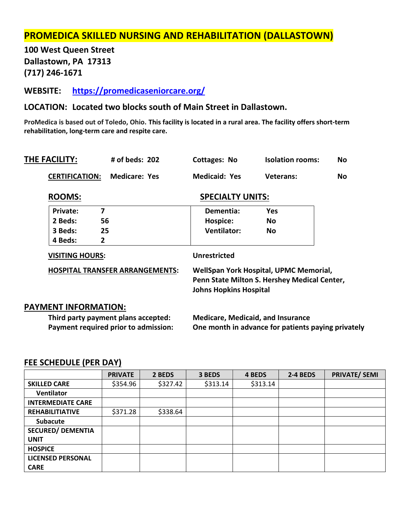# **PROMEDICA SKILLED NURSING AND REHABILITATION (DALLASTOWN)**

**100 West Queen Street Dallastown, PA 17313 (717) 246-1671**

**WEBSITE: <https://promedicaseniorcare.org/>**

### **LOCATION: Located two blocks south of Main Street in Dallastown.**

**ProMedica is based out of Toledo, Ohio. This facility is located in a rural area. The facility offers short-term rehabilitation, long-term care and respite care.**

| THE FACILITY:               | # of beds: $202$                       | <b>Cottages: No</b>                                                                                                     | <b>Isolation rooms:</b> | No        |  |
|-----------------------------|----------------------------------------|-------------------------------------------------------------------------------------------------------------------------|-------------------------|-----------|--|
| <b>CERTIFICATION:</b>       | <b>Medicare: Yes</b>                   | <b>Medicaid: Yes</b>                                                                                                    | Veterans:               | <b>No</b> |  |
| <b>ROOMS:</b>               |                                        | <b>SPECIALTY UNITS:</b>                                                                                                 |                         |           |  |
| <b>Private:</b>             | 7                                      | Dementia:                                                                                                               | <b>Yes</b>              |           |  |
| 2 Beds:                     | 56                                     | Hospice:                                                                                                                | No                      |           |  |
| 3 Beds:                     | 25                                     | <b>Ventilator:</b>                                                                                                      | No                      |           |  |
| 4 Beds:                     | $\mathbf{2}$                           |                                                                                                                         |                         |           |  |
| <b>VISITING HOURS:</b>      |                                        | <b>Unrestricted</b>                                                                                                     |                         |           |  |
|                             | <b>HOSPITAL TRANSFER ARRANGEMENTS:</b> | WellSpan York Hospital, UPMC Memorial,<br>Penn State Milton S. Hershey Medical Center,<br><b>Johns Hopkins Hospital</b> |                         |           |  |
| <b>PAYMENT INFORMATION:</b> |                                        |                                                                                                                         |                         |           |  |
|                             | Third narty nayment nlans accented:    | Madicara Madicaid and Incurance                                                                                         |                         |           |  |

### **Third party payment plans accepted: Medicare, Medicaid, and Insurance Payment required prior to admission: One month in advance for patients paying privately**

|                          | <b>PRIVATE</b> | 2 BEDS   | 3 BEDS   | 4 BEDS   | 2-4 BEDS | <b>PRIVATE/ SEMI</b> |
|--------------------------|----------------|----------|----------|----------|----------|----------------------|
| <b>SKILLED CARE</b>      | \$354.96       | \$327.42 | \$313.14 | \$313.14 |          |                      |
| <b>Ventilator</b>        |                |          |          |          |          |                      |
| <b>INTERMEDIATE CARE</b> |                |          |          |          |          |                      |
| <b>REHABILITIATIVE</b>   | \$371.28       | \$338.64 |          |          |          |                      |
| <b>Subacute</b>          |                |          |          |          |          |                      |
| <b>SECURED/ DEMENTIA</b> |                |          |          |          |          |                      |
| <b>UNIT</b>              |                |          |          |          |          |                      |
| <b>HOSPICE</b>           |                |          |          |          |          |                      |
| <b>LICENSED PERSONAL</b> |                |          |          |          |          |                      |
| <b>CARE</b>              |                |          |          |          |          |                      |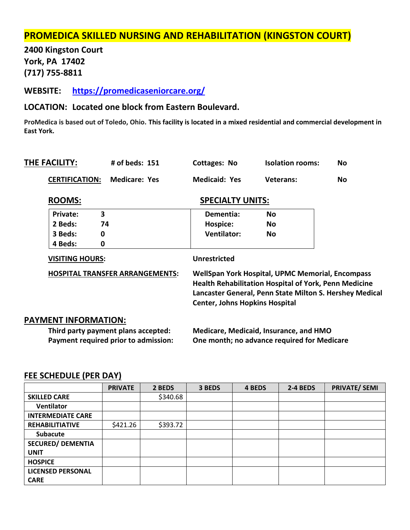# **PROMEDICA SKILLED NURSING AND REHABILITATION (KINGSTON COURT)**

**2400 Kingston Court York, PA 17402 (717) 755-8811**

**WEBSITE: <https://promedicaseniorcare.org/>**

# **LOCATION: Located one block from Eastern Boulevard.**

**ProMedica is based out of Toledo, Ohio. This facility is located in a mixed residential and commercial development in East York.** 

| THE FACILITY:                        | # of beds: 151                         | <b>Cottages: No</b>                                                                                                                                                                                                  | <b>Isolation rooms:</b>                | No        |  |  |
|--------------------------------------|----------------------------------------|----------------------------------------------------------------------------------------------------------------------------------------------------------------------------------------------------------------------|----------------------------------------|-----------|--|--|
| <b>CERTIFICATION:</b>                | <b>Medicare: Yes</b>                   | <b>Medicaid: Yes</b>                                                                                                                                                                                                 | <b>Veterans:</b>                       | <b>No</b> |  |  |
| <b>ROOMS:</b>                        |                                        | <b>SPECIALTY UNITS:</b>                                                                                                                                                                                              |                                        |           |  |  |
| 3<br>Private:                        |                                        | Dementia:                                                                                                                                                                                                            | <b>No</b>                              |           |  |  |
| 2 Beds:<br>74                        |                                        | Hospice:                                                                                                                                                                                                             | <b>No</b>                              |           |  |  |
| 3 Beds:<br>0                         |                                        | <b>Ventilator:</b>                                                                                                                                                                                                   | <b>No</b>                              |           |  |  |
| 4 Beds:<br>0                         |                                        |                                                                                                                                                                                                                      |                                        |           |  |  |
| <b>VISITING HOURS:</b>               |                                        | <b>Unrestricted</b>                                                                                                                                                                                                  |                                        |           |  |  |
|                                      | <b>HOSPITAL TRANSFER ARRANGEMENTS:</b> | WellSpan York Hospital, UPMC Memorial, Encompass<br><b>Health Rehabilitation Hospital of York, Penn Medicine</b><br>Lancaster General, Penn State Milton S. Hershey Medical<br><b>Center, Johns Hopkins Hospital</b> |                                        |           |  |  |
| <b>PAYMENT INFORMATION:</b>          |                                        |                                                                                                                                                                                                                      |                                        |           |  |  |
|                                      | Third party payment plans accepted:    |                                                                                                                                                                                                                      | Medicare, Medicaid, Insurance, and HMO |           |  |  |
| Payment required prior to admission: |                                        | One month; no advance required for Medicare                                                                                                                                                                          |                                        |           |  |  |

|                          | <b>PRIVATE</b> | 2 BEDS   | 3 BEDS | 4 BEDS | <b>2-4 BEDS</b> | <b>PRIVATE/ SEMI</b> |
|--------------------------|----------------|----------|--------|--------|-----------------|----------------------|
| <b>SKILLED CARE</b>      |                | \$340.68 |        |        |                 |                      |
| <b>Ventilator</b>        |                |          |        |        |                 |                      |
| <b>INTERMEDIATE CARE</b> |                |          |        |        |                 |                      |
| <b>REHABILITIATIVE</b>   | \$421.26       | \$393.72 |        |        |                 |                      |
| <b>Subacute</b>          |                |          |        |        |                 |                      |
| <b>SECURED/ DEMENTIA</b> |                |          |        |        |                 |                      |
| <b>UNIT</b>              |                |          |        |        |                 |                      |
| <b>HOSPICE</b>           |                |          |        |        |                 |                      |
| <b>LICENSED PERSONAL</b> |                |          |        |        |                 |                      |
| <b>CARE</b>              |                |          |        |        |                 |                      |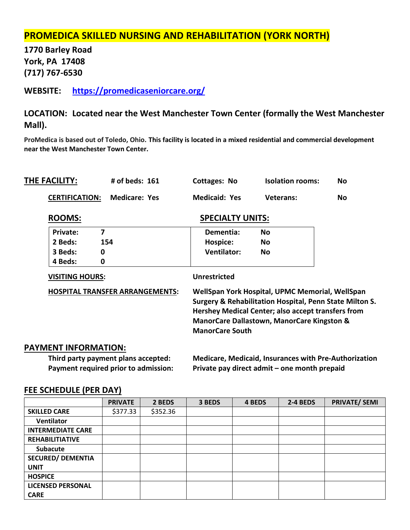# **PROMEDICA SKILLED NURSING AND REHABILITATION (YORK NORTH)**

**1770 Barley Road York, PA 17408 (717) 767-6530**

**WEBSITE: <https://promedicaseniorcare.org/>**

# **LOCATION: Located near the West Manchester Town Center (formally the West Manchester Mall).**

**ProMedica is based out of Toledo, Ohio. This facility is located in a mixed residential and commercial development near the West Manchester Town Center.** 

| THE FACILITY:               | # of beds: 161                         | <b>Cottages: No</b>                                                                                                                                                                                                                                 | <b>Isolation rooms:</b> | No |  |  |
|-----------------------------|----------------------------------------|-----------------------------------------------------------------------------------------------------------------------------------------------------------------------------------------------------------------------------------------------------|-------------------------|----|--|--|
| <b>CERTIFICATION:</b>       | <b>Medicare: Yes</b>                   | <b>Medicaid: Yes</b>                                                                                                                                                                                                                                | <b>Veterans:</b>        | No |  |  |
| <b>ROOMS:</b>               |                                        | <b>SPECIALTY UNITS:</b>                                                                                                                                                                                                                             |                         |    |  |  |
| 7<br>Private:               |                                        | Dementia:                                                                                                                                                                                                                                           | <b>No</b>               |    |  |  |
| 2 Beds:                     | 154                                    | Hospice:                                                                                                                                                                                                                                            | No                      |    |  |  |
| 3 Beds:<br>0                |                                        | <b>Ventilator:</b>                                                                                                                                                                                                                                  | No                      |    |  |  |
| 4 Beds:<br>0                |                                        |                                                                                                                                                                                                                                                     |                         |    |  |  |
| <b>VISITING HOURS:</b>      |                                        | <b>Unrestricted</b>                                                                                                                                                                                                                                 |                         |    |  |  |
|                             | <b>HOSPITAL TRANSFER ARRANGEMENTS:</b> | WellSpan York Hospital, UPMC Memorial, WellSpan<br>Surgery & Rehabilitation Hospital, Penn State Milton S.<br>Hershey Medical Center; also accept transfers from<br><b>ManorCare Dallastown, ManorCare Kingston &amp;</b><br><b>ManorCare South</b> |                         |    |  |  |
| <b>PAYMENT INFORMATION:</b> |                                        |                                                                                                                                                                                                                                                     |                         |    |  |  |

**Third party payment plans accepted: Medicare, Medicaid, Insurances with Pre-Authorization Payment required prior to admission: Private pay direct admit – one month prepaid**

|                          | <b>PRIVATE</b> | 2 BEDS   | 3 BEDS | 4 BEDS | 2-4 BEDS | <b>PRIVATE/ SEMI</b> |
|--------------------------|----------------|----------|--------|--------|----------|----------------------|
| <b>SKILLED CARE</b>      | \$377.33       | \$352.36 |        |        |          |                      |
| <b>Ventilator</b>        |                |          |        |        |          |                      |
| <b>INTERMEDIATE CARE</b> |                |          |        |        |          |                      |
| <b>REHABILITIATIVE</b>   |                |          |        |        |          |                      |
| <b>Subacute</b>          |                |          |        |        |          |                      |
| <b>SECURED/ DEMENTIA</b> |                |          |        |        |          |                      |
| <b>UNIT</b>              |                |          |        |        |          |                      |
| <b>HOSPICE</b>           |                |          |        |        |          |                      |
| <b>LICENSED PERSONAL</b> |                |          |        |        |          |                      |
| <b>CARE</b>              |                |          |        |        |          |                      |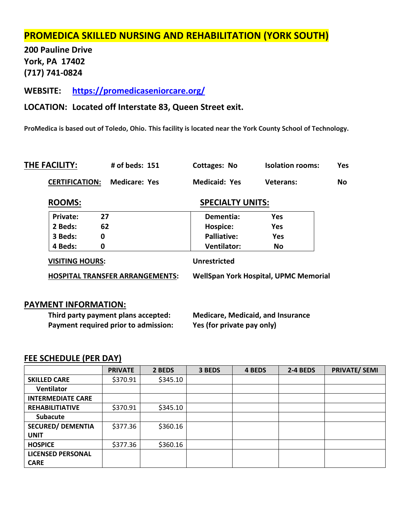# **PROMEDICA SKILLED NURSING AND REHABILITATION (YORK SOUTH)**

**200 Pauline Drive York, PA 17402 (717) 741-0824**

**WEBSITE: <https://promedicaseniorcare.org/>**

## **LOCATION: Located off Interstate 83, Queen Street exit.**

**ProMedica is based out of Toledo, Ohio. This facility is located near the York County School of Technology.**

| THE FACILITY:         | # of beds: 151       | Cottages: No         | <b>Isolation rooms:</b> | Yes |
|-----------------------|----------------------|----------------------|-------------------------|-----|
| <b>CERTIFICATION:</b> | <b>Medicare: Yes</b> | <b>Medicaid: Yes</b> | Veterans:               | No. |

### **ROOMS:** SPECIALTY UNITS:

| Private:                               | 27 | Dementia:                                    | Yes |  |  |
|----------------------------------------|----|----------------------------------------------|-----|--|--|
| 2 Beds:                                | 62 | Hospice:                                     | Yes |  |  |
| 3 Beds:                                | 0  | <b>Palliative:</b>                           | Yes |  |  |
| 4 Beds:                                | 0  | <b>Ventilator:</b>                           | No  |  |  |
| <b>VISITING HOURS:</b>                 |    | <b>Unrestricted</b>                          |     |  |  |
| <b>HOSPITAL TRANSFER ARRANGEMENTS:</b> |    | <b>WellSpan York Hospital, UPMC Memorial</b> |     |  |  |

### **PAYMENT INFORMATION:**

**Third party payment plans accepted: Medicare, Medicaid, and Insurance Payment required prior to admission: Yes (for private pay only)**

|                          | <b>PRIVATE</b> | 2 BEDS   | 3 BEDS | 4 BEDS | 2-4 BEDS | <b>PRIVATE/ SEMI</b> |
|--------------------------|----------------|----------|--------|--------|----------|----------------------|
| <b>SKILLED CARE</b>      | \$370.91       | \$345.10 |        |        |          |                      |
| Ventilator               |                |          |        |        |          |                      |
| <b>INTERMEDIATE CARE</b> |                |          |        |        |          |                      |
| <b>REHABILITIATIVE</b>   | \$370.91       | \$345.10 |        |        |          |                      |
| <b>Subacute</b>          |                |          |        |        |          |                      |
| <b>SECURED/ DEMENTIA</b> | \$377.36       | \$360.16 |        |        |          |                      |
| <b>UNIT</b>              |                |          |        |        |          |                      |
| <b>HOSPICE</b>           | \$377.36       | \$360.16 |        |        |          |                      |
| <b>LICENSED PERSONAL</b> |                |          |        |        |          |                      |
| <b>CARE</b>              |                |          |        |        |          |                      |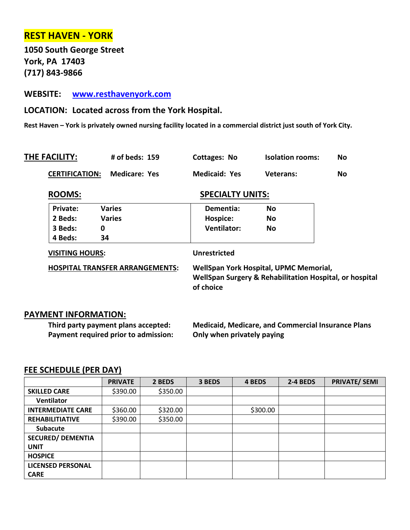# **REST HAVEN - YORK**

**1050 South George Street York, PA 17403 (717) 843-9866**

# **WEBSITE: [www.resthavenyork.com](http://www.resthavenyork.com/)**

# **LOCATION: Located across from the York Hospital.**

**Rest Haven – York is privately owned nursing facility located in a commercial district just south of York City.** 

| THE FACILITY:         | $#$ of beds: $159$ | Cottages: No         | <b>Isolation rooms:</b> | No. |
|-----------------------|--------------------|----------------------|-------------------------|-----|
| <b>CERTIFICATION:</b> | Medicare: Yes      | <b>Medicaid: Yes</b> | <b>Veterans:</b>        | No. |

|               | <b>SPECIALTY UNITS:</b> |           |  |
|---------------|-------------------------|-----------|--|
| <b>Varies</b> | Dementia:               | <b>No</b> |  |
| <b>Varies</b> | Hospice:                | <b>No</b> |  |
| 0             | <b>Ventilator:</b>      | <b>No</b> |  |
| 34            |                         |           |  |
|               |                         |           |  |

**HOSPITAL TRANSFER ARRANGEMENTS: WellSpan York Hospital, UPMC Memorial, WellSpan Surgery & Rehabilitation Hospital, or hospital of choice**

# **PAYMENT INFORMATION:**

**Third party payment plans accepted: Medicaid, Medicare, and Commercial Insurance Plans Payment required prior to admission: Only when privately paying**

|                          | <b>PRIVATE</b> | 2 BEDS   | 3 BEDS | 4 BEDS   | 2-4 BEDS | <b>PRIVATE/ SEMI</b> |
|--------------------------|----------------|----------|--------|----------|----------|----------------------|
| <b>SKILLED CARE</b>      | \$390.00       | \$350.00 |        |          |          |                      |
| <b>Ventilator</b>        |                |          |        |          |          |                      |
| <b>INTERMEDIATE CARE</b> | \$360.00       | \$320.00 |        | \$300.00 |          |                      |
| <b>REHABILITIATIVE</b>   | \$390.00       | \$350.00 |        |          |          |                      |
| <b>Subacute</b>          |                |          |        |          |          |                      |
| <b>SECURED/ DEMENTIA</b> |                |          |        |          |          |                      |
| <b>UNIT</b>              |                |          |        |          |          |                      |
| <b>HOSPICE</b>           |                |          |        |          |          |                      |
| <b>LICENSED PERSONAL</b> |                |          |        |          |          |                      |
| <b>CARE</b>              |                |          |        |          |          |                      |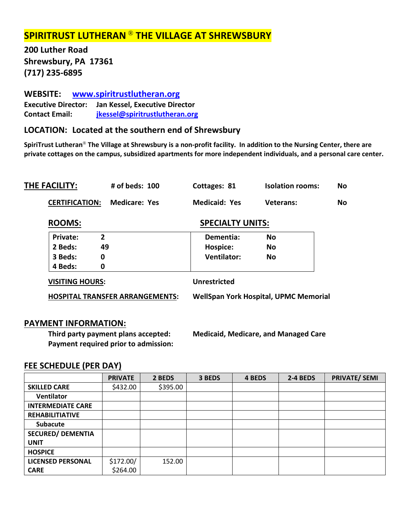# **SPIRITRUST LUTHERAN** ® **THE VILLAGE AT SHREWSBURY**

**200 Luther Road Shrewsbury, PA 17361 (717) 235-6895**

# **WEBSITE: [www.spiritrustlutheran.org](http://www.spiritrustlutheran.org/)**

**Executive Director: Jan Kessel, Executive Director Contact Email: [jkessel@spiritrustlutheran.org](mailto:jkessel@spiritrustlutheran.org)**

# **LOCATION: Located at the southern end of Shrewsbury**

**SpiriTrust Lutheran**® **The Village at Shrewsbury is a non-profit facility. In addition to the Nursing Center, there are private cottages on the campus, subsidized apartments for more independent individuals, and a personal care center.** 

| THE FACILITY:            | # of beds: $100$                       | Cottages: 81            | <b>Isolation rooms:</b>                      | No        |
|--------------------------|----------------------------------------|-------------------------|----------------------------------------------|-----------|
| <b>CERTIFICATION:</b>    | <b>Medicare: Yes</b>                   | <b>Medicaid: Yes</b>    | Veterans:                                    | <b>No</b> |
| <b>ROOMS:</b>            |                                        | <b>SPECIALTY UNITS:</b> |                                              |           |
| Private:<br>$\mathbf{2}$ |                                        | Dementia:               | <b>No</b>                                    |           |
| 49<br>2 Beds:            |                                        | Hospice:                | <b>No</b>                                    |           |
| 0<br>3 Beds:             |                                        | <b>Ventilator:</b>      | No                                           |           |
| 4 Beds:<br>0             |                                        |                         |                                              |           |
| <b>VISITING HOURS:</b>   |                                        | <b>Unrestricted</b>     |                                              |           |
|                          | <b>HOSPITAL TRANSFER ARRANGEMENTS:</b> |                         | <b>WellSpan York Hospital, UPMC Memorial</b> |           |
|                          |                                        |                         |                                              |           |

# **PAYMENT INFORMATION:**

**Payment required prior to admission:**

**Third party payment plans accepted: Medicaid, Medicare, and Managed Care**

|                          | <b>PRIVATE</b> | 2 BEDS   | 3 BEDS | 4 BEDS | 2-4 BEDS | <b>PRIVATE/ SEMI</b> |
|--------------------------|----------------|----------|--------|--------|----------|----------------------|
| <b>SKILLED CARE</b>      | \$432.00       | \$395.00 |        |        |          |                      |
| Ventilator               |                |          |        |        |          |                      |
| <b>INTERMEDIATE CARE</b> |                |          |        |        |          |                      |
| <b>REHABILITIATIVE</b>   |                |          |        |        |          |                      |
| <b>Subacute</b>          |                |          |        |        |          |                      |
| <b>SECURED/ DEMENTIA</b> |                |          |        |        |          |                      |
| <b>UNIT</b>              |                |          |        |        |          |                      |
| <b>HOSPICE</b>           |                |          |        |        |          |                      |
| <b>LICENSED PERSONAL</b> | \$172.00/      | 152.00   |        |        |          |                      |
| <b>CARE</b>              | \$264.00       |          |        |        |          |                      |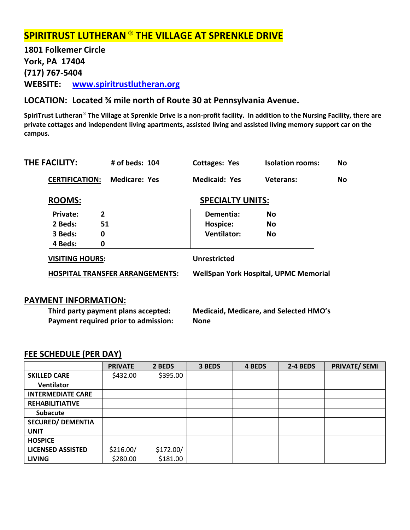# **SPIRITRUST LUTHERAN** ® **THE VILLAGE AT SPRENKLE DRIVE**

**1801 Folkemer Circle York, PA 17404 (717) 767-5404 WEBSITE: [www.spiritrustlutheran.org](http://www.spiritrustlutheran.org/)**

# **LOCATION: Located ¾ mile north of Route 30 at Pennsylvania Avenue.**

**SpiriTrust Lutheran**® **The Village at Sprenkle Drive is a non-profit facility. In addition to the Nursing Facility, there are private cottages and independent living apartments, assisted living and assisted living memory support car on the campus.**

| THE FACILITY:          | # of beds: 104                         | <b>Cottages: Yes</b>    | <b>Isolation rooms:</b>                      | No.       |
|------------------------|----------------------------------------|-------------------------|----------------------------------------------|-----------|
| <b>CERTIFICATION:</b>  | Medicare: Yes                          | <b>Medicaid: Yes</b>    | Veterans:                                    | <b>No</b> |
| <b>ROOMS:</b>          |                                        | <b>SPECIALTY UNITS:</b> |                                              |           |
| Private:               | $\overline{2}$                         | Dementia:               | <b>No</b>                                    |           |
| 2 Beds:                | 51                                     | Hospice:                | No                                           |           |
| 3 Beds:                | 0                                      | <b>Ventilator:</b>      | <b>No</b>                                    |           |
| 4 Beds:                | 0                                      |                         |                                              |           |
| <b>VISITING HOURS:</b> |                                        | <b>Unrestricted</b>     |                                              |           |
|                        | <b>HOSPITAL TRANSFER ARRANGEMENTS:</b> |                         | <b>WellSpan York Hospital, UPMC Memorial</b> |           |
|                        |                                        |                         |                                              |           |
|                        |                                        |                         |                                              |           |

# **PAYMENT INFORMATION:**

**Third party payment plans accepted: Medicaid, Medicare, and Selected HMO's Payment required prior to admission: None**

|                          | <b>PRIVATE</b> | 2 BEDS    | 3 BEDS | 4 BEDS | 2-4 BEDS | <b>PRIVATE/ SEMI</b> |
|--------------------------|----------------|-----------|--------|--------|----------|----------------------|
| <b>SKILLED CARE</b>      | \$432.00       | \$395.00  |        |        |          |                      |
| Ventilator               |                |           |        |        |          |                      |
| <b>INTERMEDIATE CARE</b> |                |           |        |        |          |                      |
| <b>REHABILITIATIVE</b>   |                |           |        |        |          |                      |
| <b>Subacute</b>          |                |           |        |        |          |                      |
| <b>SECURED/ DEMENTIA</b> |                |           |        |        |          |                      |
| <b>UNIT</b>              |                |           |        |        |          |                      |
| <b>HOSPICE</b>           |                |           |        |        |          |                      |
| <b>LICENSED ASSISTED</b> | \$216.00/      | \$172.00/ |        |        |          |                      |
| <b>LIVING</b>            | \$280.00       | \$181.00  |        |        |          |                      |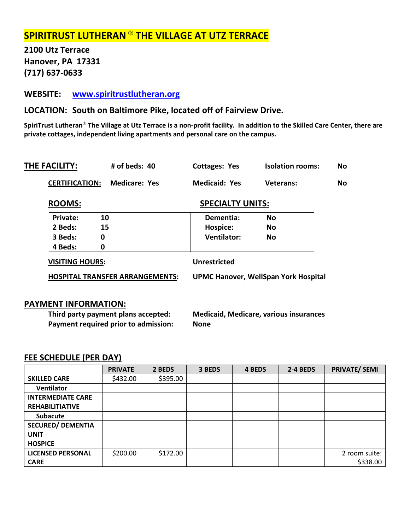# **SPIRITRUST LUTHERAN** ® **THE VILLAGE AT UTZ TERRACE**

**2100 Utz Terrace Hanover, PA 17331 (717) 637-0633**

# **WEBSITE: [www.spiritrustlutheran.org](http://www.spiritrustlutheran.org/)**

**LOCATION: South on Baltimore Pike, located off of Fairview Drive.**

**SpiriTrust Lutheran**® **The Village at Utz Terrace is a non-profit facility. In addition to the Skilled Care Center, there are private cottages, independent living apartments and personal care on the campus.**

| <b>Medicare: Yes</b> | <b>Medicaid: Yes</b>    | Veterans:                              | <b>No</b>                                   |
|----------------------|-------------------------|----------------------------------------|---------------------------------------------|
|                      |                         |                                        |                                             |
|                      | <b>SPECIALTY UNITS:</b> |                                        |                                             |
|                      | Dementia:               | <b>No</b>                              |                                             |
|                      | Hospice:                | No                                     |                                             |
|                      | <b>Ventilator:</b>      | <b>No</b>                              |                                             |
|                      |                         |                                        |                                             |
|                      | <b>Unrestricted</b>     |                                        |                                             |
|                      |                         |                                        |                                             |
|                      |                         | <b>HOSPITAL TRANSFER ARRANGEMENTS:</b> | <b>UPMC Hanover, WellSpan York Hospital</b> |

### **PAYMENT INFORMATION:**

**Third party payment plans accepted: Medicaid, Medicare, various insurances Payment required prior to admission: None**

|                          | <b>PRIVATE</b> | 2 BEDS   | 3 BEDS | 4 BEDS | 2-4 BEDS | <b>PRIVATE/ SEMI</b> |
|--------------------------|----------------|----------|--------|--------|----------|----------------------|
| <b>SKILLED CARE</b>      | \$432.00       | \$395.00 |        |        |          |                      |
| <b>Ventilator</b>        |                |          |        |        |          |                      |
| <b>INTERMEDIATE CARE</b> |                |          |        |        |          |                      |
| <b>REHABILITIATIVE</b>   |                |          |        |        |          |                      |
| <b>Subacute</b>          |                |          |        |        |          |                      |
| <b>SECURED/ DEMENTIA</b> |                |          |        |        |          |                      |
| <b>UNIT</b>              |                |          |        |        |          |                      |
| <b>HOSPICE</b>           |                |          |        |        |          |                      |
| <b>LICENSED PERSONAL</b> | \$200.00       | \$172.00 |        |        |          | 2 room suite:        |
| <b>CARE</b>              |                |          |        |        |          | \$338.00             |